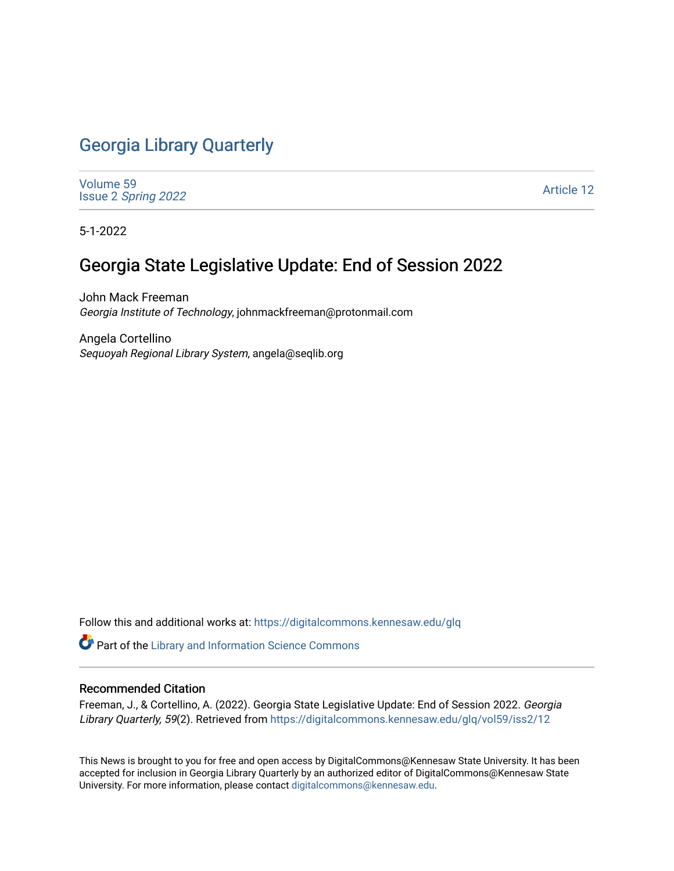# [Georgia Library Quarterly](https://digitalcommons.kennesaw.edu/glq)

[Volume 59](https://digitalcommons.kennesaw.edu/glq/vol59) Issue 2 [Spring 2022](https://digitalcommons.kennesaw.edu/glq/vol59/iss2) 

[Article 12](https://digitalcommons.kennesaw.edu/glq/vol59/iss2/12) 

5-1-2022

# Georgia State Legislative Update: End of Session 2022

John Mack Freeman Georgia Institute of Technology, johnmackfreeman@protonmail.com

Angela Cortellino Sequoyah Regional Library System, angela@seqlib.org

Follow this and additional works at: [https://digitalcommons.kennesaw.edu/glq](https://digitalcommons.kennesaw.edu/glq?utm_source=digitalcommons.kennesaw.edu%2Fglq%2Fvol59%2Fiss2%2F12&utm_medium=PDF&utm_campaign=PDFCoverPages) 

Part of the [Library and Information Science Commons](http://network.bepress.com/hgg/discipline/1018?utm_source=digitalcommons.kennesaw.edu%2Fglq%2Fvol59%2Fiss2%2F12&utm_medium=PDF&utm_campaign=PDFCoverPages) 

#### Recommended Citation

Freeman, J., & Cortellino, A. (2022). Georgia State Legislative Update: End of Session 2022. Georgia Library Quarterly, 59(2). Retrieved from https://digitalcommons.kennesaw.edu/glq/vol59/iss2/12

This News is brought to you for free and open access by DigitalCommons@Kennesaw State University. It has been accepted for inclusion in Georgia Library Quarterly by an authorized editor of DigitalCommons@Kennesaw State University. For more information, please contact [digitalcommons@kennesaw.edu.](mailto:digitalcommons@kennesaw.edu)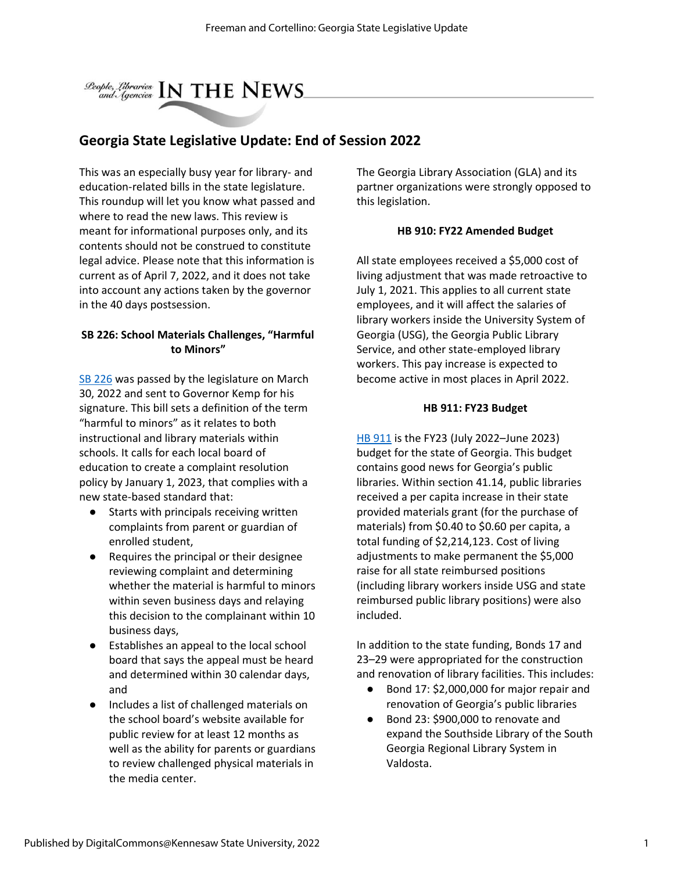

### **Georgia State Legislative Update: End of Session 2022**

This was an especially busy year for library- and education-related bills in the state legislature. This roundup will let you know what passed and where to read the new laws. This review is meant for informational purposes only, and its contents should not be construed to constitute legal advice. Please note that this information is current as of April 7, 2022, and it does not take into account any actions taken by the governor in the 40 days postsession.

#### **SB 226: School Materials Challenges, "Harmful to Minors"**

[SB 226](https://www.legis.ga.gov/legislation/59932) was passed by the legislature on March 30, 2022 and sent to Governor Kemp for his signature. This bill sets a definition of the term "harmful to minors" as it relates to both instructional and library materials within schools. It calls for each local board of education to create a complaint resolution policy by January 1, 2023, that complies with a new state-based standard that:

- Starts with principals receiving written complaints from parent or guardian of enrolled student,
- Requires the principal or their designee reviewing complaint and determining whether the material is harmful to minors within seven business days and relaying this decision to the complainant within 10 business days,
- Establishes an appeal to the local school board that says the appeal must be heard and determined within 30 calendar days, and
- Includes a list of challenged materials on the school board's website available for public review for at least 12 months as well as the ability for parents or guardians to review challenged physical materials in the media center.

The Georgia Library Association (GLA) and its partner organizations were strongly opposed to this legislation.

#### **HB 910: FY22 Amended Budget**

All state employees received a \$5,000 cost of living adjustment that was made retroactive to July 1, 2021. This applies to all current state employees, and it will affect the salaries of library workers inside the University System of Georgia (USG), the Georgia Public Library Service, and other state-employed library workers. This pay increase is expected to become active in most places in April 2022.

#### **HB 911: FY23 Budget**

[HB 911](https://www.legis.ga.gov/api/document/docs/default-source/house-budget-and-research-office-document-library/2023_fiscal_year/fy_2023_bill_conf_cmte_hb_911.pdf?sfvrsn=e05d7fb_2) is the FY23 (July 2022–June 2023) budget for the state of Georgia. This budget contains good news for Georgia's public libraries. Within section 41.14, public libraries received a per capita increase in their state provided materials grant (for the purchase of materials) from \$0.40 to \$0.60 per capita, a total funding of \$2,214,123. Cost of living adjustments to make permanent the \$5,000 raise for all state reimbursed positions (including library workers inside USG and state reimbursed public library positions) were also included.

In addition to the state funding, Bonds 17 and 23–29 were appropriated for the construction and renovation of library facilities. This includes:

- Bond 17: \$2,000,000 for major repair and renovation of Georgia's public libraries
- Bond 23: \$900,000 to renovate and expand the Southside Library of the South Georgia Regional Library System in Valdosta.